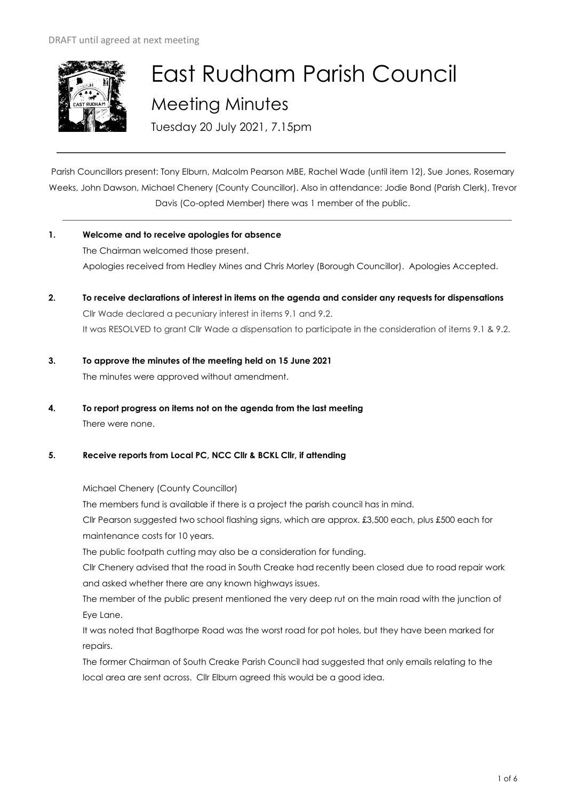

# East Rudham Parish Council Meeting Minutes

Tuesday 20 July 2021, 7.15pm

Parish Councillors present: Tony Elburn, Malcolm Pearson MBE, Rachel Wade (until item 12), Sue Jones, Rosemary Weeks, John Dawson, Michael Chenery (County Councillor). Also in attendance: Jodie Bond (Parish Clerk), Trevor Davis (Co-opted Member) there was 1 member of the public.

- **1. Welcome and to receive apologies for absence** The Chairman welcomed those present. Apologies received from Hedley Mines and Chris Morley (Borough Councillor). Apologies Accepted.
- **2. To receive declarations of interest in items on the agenda and consider any requests for dispensations**  Cllr Wade declared a pecuniary interest in items 9.1 and 9.2. It was RESOLVED to grant Cllr Wade a dispensation to participate in the consideration of items 9.1 & 9.2.
- **3. To approve the minutes of the meeting held on 15 June 2021**  The minutes were approved without amendment.
- **4. To report progress on items not on the agenda from the last meeting**  There were none.

# **5. Receive reports from Local PC, NCC Cllr & BCKL Cllr, if attending**

Michael Chenery (County Councillor)

The members fund is available if there is a project the parish council has in mind.

Cllr Pearson suggested two school flashing signs, which are approx. £3,500 each, plus £500 each for maintenance costs for 10 years.

The public footpath cutting may also be a consideration for funding.

Cllr Chenery advised that the road in South Creake had recently been closed due to road repair work and asked whether there are any known highways issues.

The member of the public present mentioned the very deep rut on the main road with the junction of Eye Lane.

It was noted that Bagthorpe Road was the worst road for pot holes, but they have been marked for repairs.

The former Chairman of South Creake Parish Council had suggested that only emails relating to the local area are sent across. Cllr Elburn agreed this would be a good idea.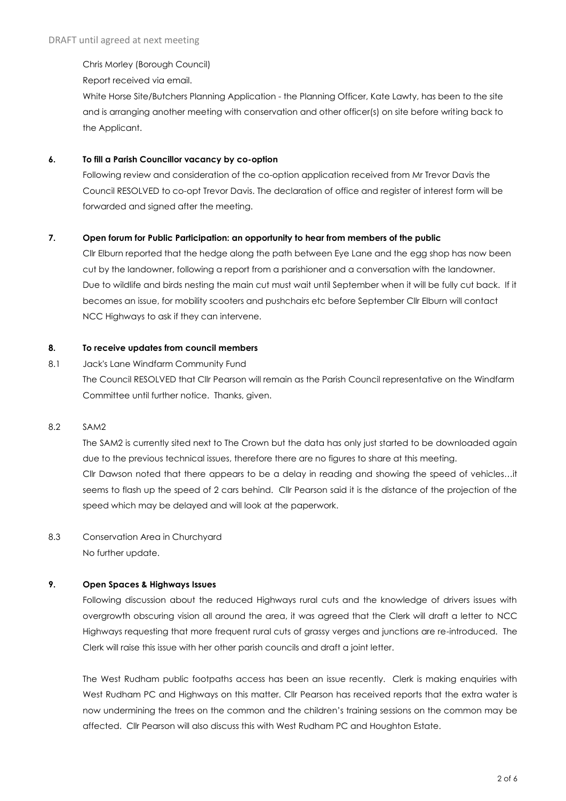Chris Morley (Borough Council)

Report received via email.

White Horse Site/Butchers Planning Application - the Planning Officer, Kate Lawty, has been to the site and is arranging another meeting with conservation and other officer(s) on site before writing back to the Applicant.

## **6. To fill a Parish Councillor vacancy by co-option**

Following review and consideration of the co-option application received from Mr Trevor Davis the Council RESOLVED to co-opt Trevor Davis. The declaration of office and register of interest form will be forwarded and signed after the meeting.

### **7. Open forum for Public Participation: an opportunity to hear from members of the public**

Cllr Elburn reported that the hedge along the path between Eye Lane and the egg shop has now been cut by the landowner, following a report from a parishioner and a conversation with the landowner. Due to wildlife and birds nesting the main cut must wait until September when it will be fully cut back. If it becomes an issue, for mobility scooters and pushchairs etc before September Cllr Elburn will contact NCC Highways to ask if they can intervene.

### **8. To receive updates from council members**

8.1 Jack's Lane Windfarm Community Fund The Council RESOLVED that Cllr Pearson will remain as the Parish Council representative on the Windfarm Committee until further notice. Thanks, given.

#### 8.2 SAM2

The SAM2 is currently sited next to The Crown but the data has only just started to be downloaded again due to the previous technical issues, therefore there are no figures to share at this meeting. Cllr Dawson noted that there appears to be a delay in reading and showing the speed of vehicles…it seems to flash up the speed of 2 cars behind. Cllr Pearson said it is the distance of the projection of the speed which may be delayed and will look at the paperwork.

# 8.3 Conservation Area in Churchyard No further update.

# **9. Open Spaces & Highways Issues**

Following discussion about the reduced Highways rural cuts and the knowledge of drivers issues with overgrowth obscuring vision all around the area, it was agreed that the Clerk will draft a letter to NCC Highways requesting that more frequent rural cuts of grassy verges and junctions are re-introduced. The Clerk will raise this issue with her other parish councils and draft a joint letter.

The West Rudham public footpaths access has been an issue recently. Clerk is making enquiries with West Rudham PC and Highways on this matter. Cllr Pearson has received reports that the extra water is now undermining the trees on the common and the children's training sessions on the common may be affected. Cllr Pearson will also discuss this with West Rudham PC and Houghton Estate.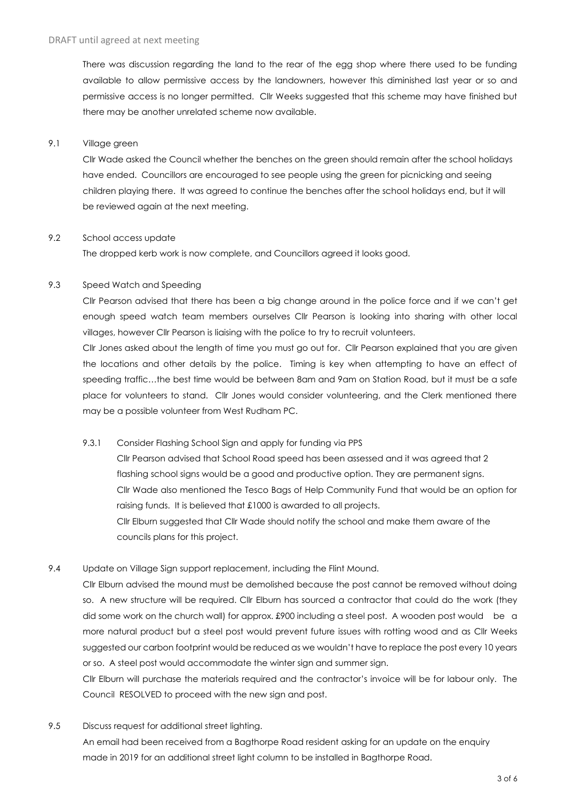There was discussion regarding the land to the rear of the egg shop where there used to be funding available to allow permissive access by the landowners, however this diminished last year or so and permissive access is no longer permitted. Cllr Weeks suggested that this scheme may have finished but there may be another unrelated scheme now available.

## 9.1 Village green

Cllr Wade asked the Council whether the benches on the green should remain after the school holidays have ended. Councillors are encouraged to see people using the green for picnicking and seeing children playing there. It was agreed to continue the benches after the school holidays end, but it will be reviewed again at the next meeting.

#### 9.2 School access update

The dropped kerb work is now complete, and Councillors agreed it looks good.

#### 9.3 Speed Watch and Speeding

Cllr Pearson advised that there has been a big change around in the police force and if we can't get enough speed watch team members ourselves Cllr Pearson is looking into sharing with other local villages, however Cllr Pearson is liaising with the police to try to recruit volunteers.

Cllr Jones asked about the length of time you must go out for. Cllr Pearson explained that you are given the locations and other details by the police. Timing is key when attempting to have an effect of speeding traffic...the best time would be between 8am and 9am on Station Road, but it must be a safe place for volunteers to stand. Cllr Jones would consider volunteering, and the Clerk mentioned there may be a possible volunteer from West Rudham PC.

9.3.1 Consider Flashing School Sign and apply for funding via PPS

Cllr Pearson advised that School Road speed has been assessed and it was agreed that 2 flashing school signs would be a good and productive option. They are permanent signs. Cllr Wade also mentioned the Tesco Bags of Help Community Fund that would be an option for raising funds. It is believed that £1000 is awarded to all projects. Cllr Elburn suggested that Cllr Wade should notify the school and make them aware of the councils plans for this project.

9.4 Update on Village Sign support replacement, including the Flint Mound.

Cllr Elburn advised the mound must be demolished because the post cannot be removed without doing so. A new structure will be required. Cllr Elburn has sourced a contractor that could do the work (they did some work on the church wall) for approx. £900 including a steel post. A wooden post would be a more natural product but a steel post would prevent future issues with rotting wood and as Cllr Weeks suggested our carbon footprint would be reduced as we wouldn't have to replace the post every 10 years or so. A steel post would accommodate the winter sign and summer sign.

Cllr Elburn will purchase the materials required and the contractor's invoice will be for labour only. The Council RESOLVED to proceed with the new sign and post.

9.5 Discuss request for additional street lighting.

An email had been received from a Bagthorpe Road resident asking for an update on the enquiry made in 2019 for an additional street light column to be installed in Bagthorpe Road.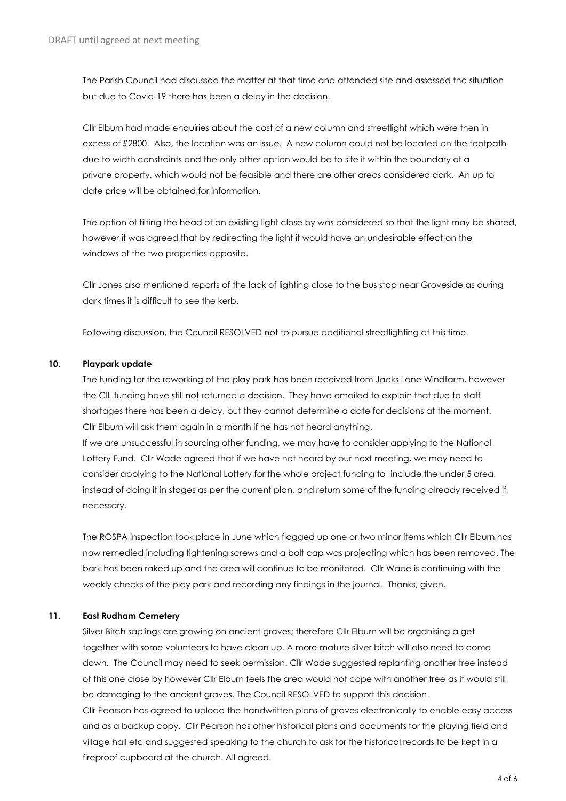The Parish Council had discussed the matter at that time and attended site and assessed the situation but due to Covid-19 there has been a delay in the decision.

Cllr Elburn had made enquiries about the cost of a new column and streetlight which were then in excess of £2800. Also, the location was an issue. A new column could not be located on the footpath due to width constraints and the only other option would be to site it within the boundary of a private property, which would not be feasible and there are other areas considered dark. An up to date price will be obtained for information.

The option of tilting the head of an existing light close by was considered so that the light may be shared, however it was agreed that by redirecting the light it would have an undesirable effect on the windows of the two properties opposite.

Cllr Jones also mentioned reports of the lack of lighting close to the bus stop near Groveside as during dark times it is difficult to see the kerb.

Following discussion, the Council RESOLVED not to pursue additional streetlighting at this time.

### **10. Playpark update**

The funding for the reworking of the play park has been received from Jacks Lane Windfarm, however the CIL funding have still not returned a decision. They have emailed to explain that due to staff shortages there has been a delay, but they cannot determine a date for decisions at the moment. Cllr Elburn will ask them again in a month if he has not heard anything. If we are unsuccessful in sourcing other funding, we may have to consider applying to the National Lottery Fund. Cllr Wade agreed that if we have not heard by our next meeting, we may need to consider applying to the National Lottery for the whole project funding to include the under 5 area, instead of doing it in stages as per the current plan, and return some of the funding already received if necessary.

The ROSPA inspection took place in June which flagged up one or two minor items which Cllr Elburn has now remedied including tightening screws and a bolt cap was projecting which has been removed. The bark has been raked up and the area will continue to be monitored. Cllr Wade is continuing with the weekly checks of the play park and recording any findings in the journal. Thanks, given.

# **11. East Rudham Cemetery**

Silver Birch saplings are growing on ancient graves; therefore Cllr Elburn will be organising a get together with some volunteers to have clean up. A more mature silver birch will also need to come down. The Council may need to seek permission. Cllr Wade suggested replanting another tree instead of this one close by however Cllr Elburn feels the area would not cope with another tree as it would still be damaging to the ancient graves. The Council RESOLVED to support this decision. Cllr Pearson has agreed to upload the handwritten plans of graves electronically to enable easy access and as a backup copy. Cllr Pearson has other historical plans and documents for the playing field and village hall etc and suggested speaking to the church to ask for the historical records to be kept in a fireproof cupboard at the church. All agreed.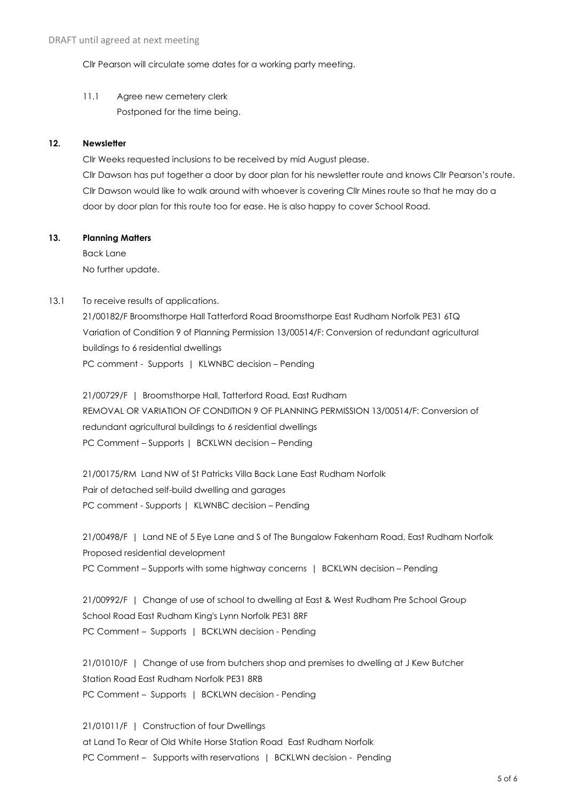Cllr Pearson will circulate some dates for a working party meeting.

11.1 Agree new cemetery clerk Postponed for the time being.

### **12. Newsletter**

Cllr Weeks requested inclusions to be received by mid August please.

Cllr Dawson has put together a door by door plan for his newsletter route and knows Cllr Pearson's route. Cllr Dawson would like to walk around with whoever is covering Cllr Mines route so that he may do a door by door plan for this route too for ease. He is also happy to cover School Road.

### **13. Planning Matters**

Back Lane No further update.

### 13.1 To receive results of applications.

21/00182/F Broomsthorpe Hall Tatterford Road Broomsthorpe East Rudham Norfolk PE31 6TQ Variation of Condition 9 of Planning Permission 13/00514/F: Conversion of redundant agricultural buildings to 6 residential dwellings PC comment - Supports | KLWNBC decision - Pending

21/00729/F | Broomsthorpe Hall, Tatterford Road, East Rudham REMOVAL OR VARIATION OF CONDITION 9 OF PLANNING PERMISSION 13/00514/F: Conversion of redundant agricultural buildings to 6 residential dwellings PC Comment – Supports | BCKLWN decision – Pending

21/00175/RM Land NW of St Patricks Villa Back Lane East Rudham Norfolk Pair of detached self-build dwelling and garages PC comment - Supports | KLWNBC decision – Pending

21/00498/F | Land NE of 5 Eye Lane and S of The Bungalow Fakenham Road, East Rudham Norfolk Proposed residential development PC Comment – Supports with some highway concerns | BCKLWN decision – Pending

21/00992/F | Change of use of school to dwelling at East & West Rudham Pre School Group School Road East Rudham King's Lynn Norfolk PE31 8RF PC Comment – Supports | BCKLWN decision - Pending

21/01010/F | Change of use from butchers shop and premises to dwelling at J Kew Butcher Station Road East Rudham Norfolk PE31 8RB PC Comment – Supports | BCKLWN decision - Pending

21/01011/F | Construction of four Dwellings at Land To Rear of Old White Horse Station Road East Rudham Norfolk PC Comment – Supports with reservations | BCKLWN decision - Pending